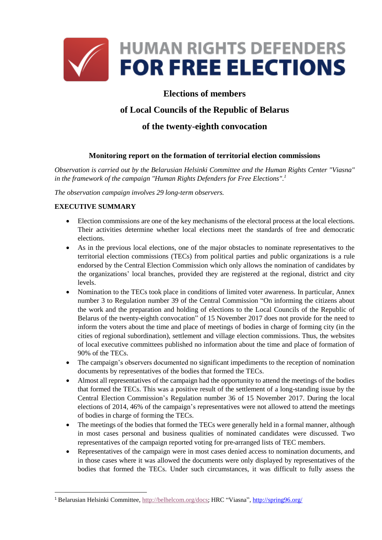

# **Elections of members**

# **of Local Councils of the Republic of Belarus**

# **of the twenty-eighth convocation**

### **Monitoring report on the formation of territorial election commissions**

*Observation is carried out by the Belarusian Helsinki Committee and the Human Rights Center "Viasna" in the framework of the campaign "Human Rights Defenders for Free Elections". 1*

*The observation campaign involves 29 long-term observers.*

### **EXECUTIVE SUMMARY**

**.** 

- Election commissions are one of the key mechanisms of the electoral process at the local elections. Their activities determine whether local elections meet the standards of free and democratic elections.
- As in the previous local elections, one of the major obstacles to nominate representatives to the territorial election commissions (TECs) from political parties and public organizations is a rule endorsed by the Central Election Commission which only allows the nomination of candidates by the organizations' local branches, provided they are registered at the regional, district and city levels.
- Nomination to the TECs took place in conditions of limited voter awareness. In particular, Annex number 3 to Regulation number 39 of the Central Commission "On informing the citizens about the work and the preparation and holding of elections to the Local Councils of the Republic of Belarus of the twenty-eighth convocation" of 15 November 2017 does not provide for the need to inform the voters about the time and place of meetings of bodies in charge of forming city (in the cities of regional subordination), settlement and village election commissions. Thus, the websites of local executive committees published no information about the time and place of formation of 90% of the TECs.
- The campaign's observers documented no significant impediments to the reception of nomination documents by representatives of the bodies that formed the TECs.
- Almost all representatives of the campaign had the opportunity to attend the meetings of the bodies that formed the TECs. This was a positive result of the settlement of a long-standing issue by the Central Election Commission's Regulation number 36 of 15 November 2017. During the local elections of 2014, 46% of the campaign's representatives were not allowed to attend the meetings of bodies in charge of forming the TECs.
- The meetings of the bodies that formed the TECs were generally held in a formal manner, although in most cases personal and business qualities of nominated candidates were discussed. Two representatives of the campaign reported voting for pre-arranged lists of TEC members.
- Representatives of the campaign were in most cases denied access to nomination documents, and in those cases where it was allowed the documents were only displayed by representatives of the bodies that formed the TECs. Under such circumstances, it was difficult to fully assess the

<sup>1</sup> Belarusian Helsinki Committee[, http://belhelcom.org/docs](http://belhelcom.org/docs); HRC "Viasna", [http://spring96.org/](http://elections2018.spring96.org/en)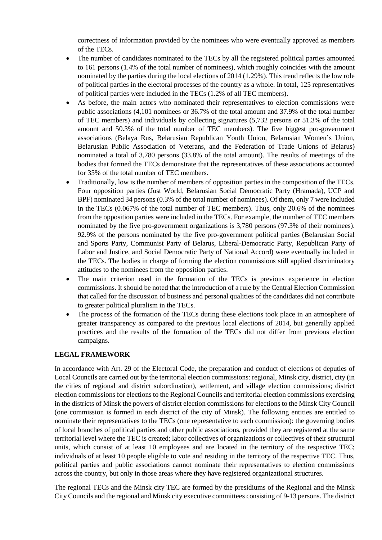correctness of information provided by the nominees who were eventually approved as members of the TECs.

- The number of candidates nominated to the TECs by all the registered political parties amounted to 161 persons (1.4% of the total number of nominees), which roughly coincides with the amount nominated by the parties during the local elections of 2014 (1.29%). This trend reflects the low role of political parties in the electoral processes of the country as a whole. In total, 125 representatives of political parties were included in the TECs (1.2% of all TEC members).
- As before, the main actors who nominated their representatives to election commissions were public associations (4,101 nominees or 36.7% of the total amount and 37.9% of the total number of TEC members) and individuals by collecting signatures (5,732 persons or 51.3% of the total amount and 50.3% of the total number of TEC members). The five biggest pro-government associations (Belaya Rus, Belarusian Republican Youth Union, Belarusian Women's Union, Belarusian Public Association of Veterans, and the Federation of Trade Unions of Belarus) nominated a total of 3,780 persons (33.8% of the total amount). The results of meetings of the bodies that formed the TECs demonstrate that the representatives of these associations accounted for 35% of the total number of TEC members.
- Traditionally, low is the number of members of opposition parties in the composition of the TECs. Four opposition parties (Just World, Belarusian Social Democratic Party (Hramada), UCP and BPF) nominated 34 persons (0.3% of the total number of nominees). Of them, only 7 were included in the TECs (0.067% of the total number of TEC members). Thus, only 20.6% of the nominees from the opposition parties were included in the TECs. For example, the number of TEC members nominated by the five pro-government organizations is 3,780 persons (97.3% of their nominees). 92.9% of the persons nominated by the five pro-government political parties (Belarusian Social and Sports Party, Communist Party of Belarus, Liberal-Democratic Party, Republican Party of Labor and Justice, and Social Democratic Party of National Accord) were eventually included in the TECs. The bodies in charge of forming the election commissions still applied discriminatory attitudes to the nominees from the opposition parties.
- The main criterion used in the formation of the TECs is previous experience in election commissions. It should be noted that the introduction of a rule by the Central Election Commission that called for the discussion of business and personal qualities of the candidates did not contribute to greater political pluralism in the TECs.
- The process of the formation of the TECs during these elections took place in an atmosphere of greater transparency as compared to the previous local elections of 2014, but generally applied practices and the results of the formation of the TECs did not differ from previous election campaigns.

#### **LEGAL FRAMEWORK**

In accordance with Art. 29 of the Electoral Code, the preparation and conduct of elections of deputies of Local Councils are carried out by the territorial election commissions: regional, Minsk city, district, city (in the cities of regional and district subordination), settlement, and village election commissions; district election commissions for elections to the Regional Councils and territorial election commissions exercising in the districts of Minsk the powers of district election commissions for elections to the Minsk City Council (one commission is formed in each district of the city of Minsk). The following entities are entitled to nominate their representatives to the TECs (one representative to each commission): the governing bodies of local branches of political parties and other public associations, provided they are registered at the same territorial level where the TEC is created; labor collectives of organizations or collectives of their structural units, which consist of at least 10 employees and are located in the territory of the respective TEC; individuals of at least 10 people eligible to vote and residing in the territory of the respective TEC. Thus, political parties and public associations cannot nominate their representatives to election commissions across the country, but only in those areas where they have registered organizational structures.

The regional TECs and the Minsk city TEC are formed by the presidiums of the Regional and the Minsk City Councils and the regional and Minsk city executive committees consisting of 9-13 persons. The district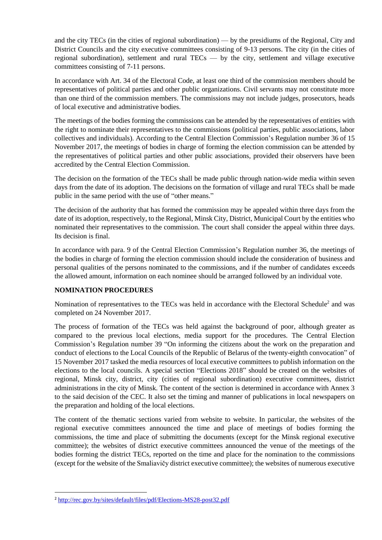and the city TECs (in the cities of regional subordination) — by the presidiums of the Regional, City and District Councils and the city executive committees consisting of 9-13 persons. The city (in the cities of regional subordination), settlement and rural TECs — by the city, settlement and village executive committees consisting of 7-11 persons.

In accordance with Art. 34 of the Electoral Code, at least one third of the commission members should be representatives of political parties and other public organizations. Civil servants may not constitute more than one third of the commission members. The commissions may not include judges, prosecutors, heads of local executive and administrative bodies.

The meetings of the bodies forming the commissions can be attended by the representatives of entities with the right to nominate their representatives to the commissions (political parties, public associations, labor collectives and individuals). According to the Central Election Commission's Regulation number 36 of 15 November 2017, the meetings of bodies in charge of forming the election commission can be attended by the representatives of political parties and other public associations, provided their observers have been accredited by the Central Election Commission.

The decision on the formation of the TECs shall be made public through nation-wide media within seven days from the date of its adoption. The decisions on the formation of village and rural TECs shall be made public in the same period with the use of "other means."

The decision of the authority that has formed the commission may be appealed within three days from the date of its adoption, respectively, to the Regional, Minsk City, District, Municipal Court by the entities who nominated their representatives to the commission. The court shall consider the appeal within three days. Its decision is final.

In accordance with para. 9 of the Central Election Commission's Regulation number 36, the meetings of the bodies in charge of forming the election commission should include the consideration of business and personal qualities of the persons nominated to the commissions, and if the number of candidates exceeds the allowed amount, information on each nominee should be arranged followed by an individual vote.

#### **NOMINATION PROCEDURES**

Nomination of representatives to the TECs was held in accordance with the Electoral Schedule<sup>2</sup> and was completed on 24 November 2017.

The process of formation of the TECs was held against the background of poor, although greater as compared to the previous local elections, media support for the procedures. The Central Election Commission's Regulation number 39 "On informing the citizens about the work on the preparation and conduct of elections to the Local Councils of the Republic of Belarus of the twenty-eighth convocation" of 15 November 2017 tasked the media resources of local executive committees to publish information on the elections to the local councils. A special section "Elections 2018" should be created on the websites of regional, Minsk city, district, city (cities of regional subordination) executive committees, district administrations in the city of Minsk. The content of the section is determined in accordance with Annex 3 to the said decision of the CEC. It also set the timing and manner of publications in local newspapers on the preparation and holding of the local elections.

The content of the thematic sections varied from website to website. In particular, the websites of the regional executive committees announced the time and place of meetings of bodies forming the commissions, the time and place of submitting the documents (except for the Minsk regional executive committee); the websites of district executive committees announced the venue of the meetings of the bodies forming the district TECs, reported on the time and place for the nomination to the commissions (except for the website of the Smaliavičy district executive committee); the websites of numerous executive

**.** 

<sup>2</sup> <http://rec.gov.by/sites/default/files/pdf/Elections-MS28-post32.pdf>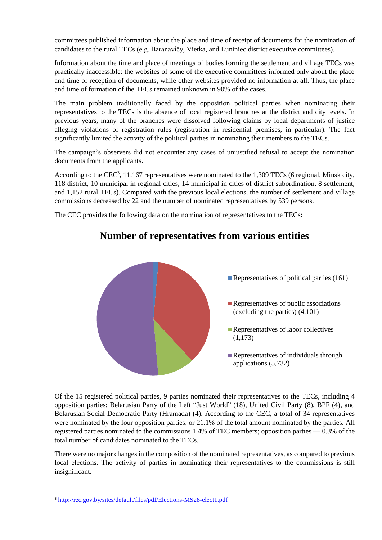committees published information about the place and time of receipt of documents for the nomination of candidates to the rural TECs (e.g. Baranavičy, Vietka, and Luniniec district executive committees).

Information about the time and place of meetings of bodies forming the settlement and village TECs was practically inaccessible: the websites of some of the executive committees informed only about the place and time of reception of documents, while other websites provided no information at all. Thus, the place and time of formation of the TECs remained unknown in 90% of the cases.

The main problem traditionally faced by the opposition political parties when nominating their representatives to the TECs is the absence of local registered branches at the district and city levels. In previous years, many of the branches were dissolved following claims by local departments of justice alleging violations of registration rules (registration in residential premises, in particular). The fact significantly limited the activity of the political parties in nominating their members to the TECs.

The campaign's observers did not encounter any cases of unjustified refusal to accept the nomination documents from the applicants.

According to the CEC<sup>3</sup>, 11,167 representatives were nominated to the 1,309 TECs (6 regional, Minsk city, 118 district, 10 municipal in regional cities, 14 municipal in cities of district subordination, 8 settlement, and 1,152 rural TECs). Compared with the previous local elections, the number of settlement and village commissions decreased by 22 and the number of nominated representatives by 539 persons.



The CEC provides the following data on the nomination of representatives to the TECs:

Of the 15 registered political parties, 9 parties nominated their representatives to the TECs, including 4 opposition parties: Belarusian Party of the Left "Just World" (18), United Civil Party (8), BPF (4), and Belarusian Social Democratic Party (Hramada) (4). According to the CEC, a total of 34 representatives were nominated by the four opposition parties, or 21.1% of the total amount nominated by the parties. All registered parties nominated to the commissions 1.4% of TEC members; opposition parties — 0.3% of the total number of candidates nominated to the TECs.

There were no major changes in the composition of the nominated representatives, as compared to previous local elections. The activity of parties in nominating their representatives to the commissions is still insignificant.

**.** 

<sup>3</sup> <http://rec.gov.by/sites/default/files/pdf/Elections-MS28-elect1.pdf>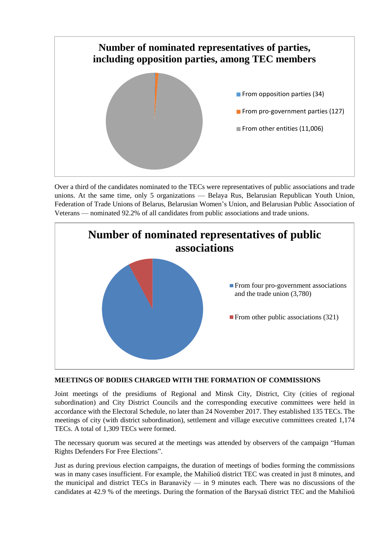

Over a third of the candidates nominated to the TECs were representatives of public associations and trade unions. At the same time, only 5 organizations — Belaya Rus, Belarusian Republican Youth Union, Federation of Trade Unions of Belarus, Belarusian Women's Union, and Belarusian Public Association of Veterans — nominated 92.2% of all candidates from public associations and trade unions.



#### **MEETINGS OF BODIES CHARGED WITH THE FORMATION OF COMMISSIONS**

Joint meetings of the presidiums of Regional and Minsk City, District, City (cities of regional subordination) and City District Councils and the corresponding executive committees were held in accordance with the Electoral Schedule, no later than 24 November 2017. They established 135 TECs. The meetings of city (with district subordination), settlement and village executive committees created 1,174 TECs. A total of 1,309 TECs were formed.

The necessary quorum was secured at the meetings was attended by observers of the campaign "Human Rights Defenders For Free Elections".

Just as during previous election campaigns, the duration of meetings of bodies forming the commissions was in many cases insufficient. For example, the Mahilioŭ district TEC was created in just 8 minutes, and the municipal and district TECs in Baranavičy — in 9 minutes each. There was no discussions of the candidates at 42.9 % of the meetings. During the formation of the Barysaŭ district TEC and the Mahilioŭ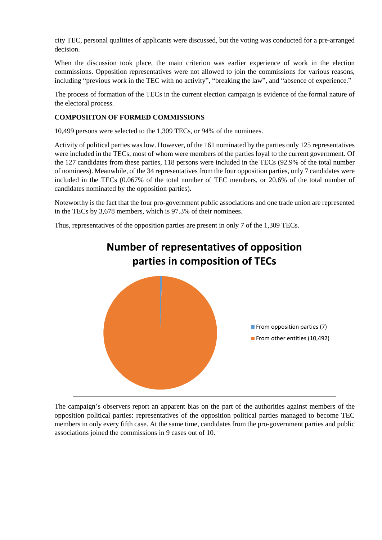city TEC, personal qualities of applicants were discussed, but the voting was conducted for a pre-arranged decision.

When the discussion took place, the main criterion was earlier experience of work in the election commissions. Opposition representatives were not allowed to join the commissions for various reasons, including "previous work in the TEC with no activity", "breaking the law", and "absence of experience."

The process of formation of the TECs in the current election campaign is evidence of the formal nature of the electoral process.

### **COMPOSIITON OF FORMED COMMISSIONS**

10,499 persons were selected to the 1,309 TECs, or 94% of the nominees.

Activity of political parties was low. However, of the 161 nominated by the parties only 125 representatives were included in the TECs, most of whom were members of the parties loyal to the current government. Of the 127 candidates from these parties, 118 persons were included in the TECs (92.9% of the total number of nominees). Meanwhile, of the 34 representatives from the four opposition parties, only 7 candidates were included in the TECs (0.067% of the total number of TEC members, or 20.6% of the total number of candidates nominated by the opposition parties).

Noteworthy is the fact that the four pro-government public associations and one trade union are represented in the TECs by 3,678 members, which is 97.3% of their nominees.

Thus, representatives of the opposition parties are present in only 7 of the 1,309 TECs.



The campaign's observers report an apparent bias on the part of the authorities against members of the opposition political parties: representatives of the opposition political parties managed to become TEC members in only every fifth case. At the same time, candidates from the pro-government parties and public associations joined the commissions in 9 cases out of 10.